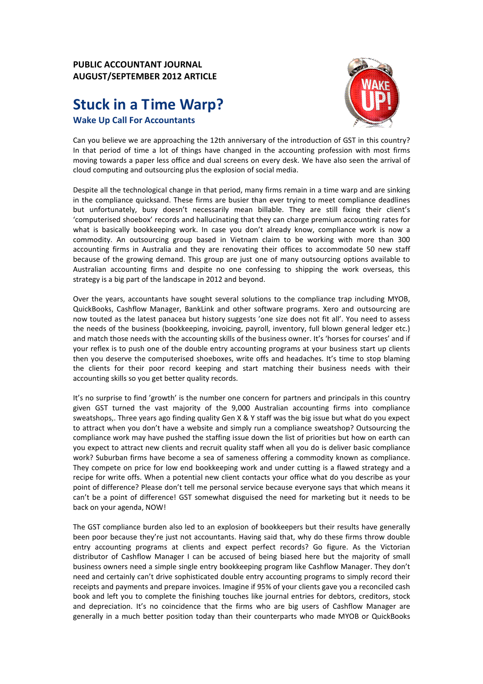## **PUBLIC ACCOUNTANT JOURNAL AUGUST/SEPTEMBER 2012 ARTICLE**

## **Stuck in a Time Warp? Wake Up Call For Accountants**



Can you believe we are approaching the 12th anniversary of the introduction of GST in this country? In that period of time a lot of things have changed in the accounting profession with most firms moving towards a paper less office and dual screens on every desk. We have also seen the arrival of cloud computing and outsourcing plus the explosion of social media.

Despite all the technological change in that period, many firms remain in a time warp and are sinking in the compliance quicksand. These firms are busier than ever trying to meet compliance deadlines but unfortunately, busy doesn't necessarily mean billable. They are still fixing their client's 'computerised shoebox' records and hallucinating that they can charge premium accounting rates for what is basically bookkeeping work. In case you don't already know, compliance work is now a commodity. An outsourcing group based in Vietnam claim to be working with more than 300 accounting firms in Australia and they are renovating their offices to accommodate 50 new staff because of the growing demand. This group are just one of many outsourcing options available to Australian accounting firms and despite no one confessing to shipping the work overseas, this strategy is a big part of the landscape in 2012 and beyond.

Over the years, accountants have sought several solutions to the compliance trap including MYOB, QuickBooks, Cashflow Manager, BankLink and other software programs. Xero and outsourcing are now touted as the latest panacea but history suggests 'one size does not fit all'. You need to assess the needs of the business (bookkeeping, invoicing, payroll, inventory, full blown general ledger etc.) and match those needs with the accounting skills of the business owner. It's 'horses for courses' and if your reflex is to push one of the double entry accounting programs at your business start up clients then you deserve the computerised shoeboxes, write offs and headaches. It's time to stop blaming the clients for their poor record keeping and start matching their business needs with their accounting skills so you get better quality records.

It's no surprise to find 'growth' is the number one concern for partners and principals in this country given GST turned the vast majority of the 9,000 Australian accounting firms into compliance sweatshops,. Three years ago finding quality Gen X & Y staff was the big issue but what do you expect to attract when you don't have a website and simply run a compliance sweatshop? Outsourcing the compliance work may have pushed the staffing issue down the list of priorities but how on earth can you expect to attract new clients and recruit quality staff when all you do is deliver basic compliance work? Suburban firms have become a sea of sameness offering a commodity known as compliance. They compete on price for low end bookkeeping work and under cutting is a flawed strategy and a recipe for write offs. When a potential new client contacts your office what do you describe as your point of difference? Please don't tell me personal service because everyone says that which means it can't be a point of difference! GST somewhat disguised the need for marketing but it needs to be back on your agenda, NOW!

The GST compliance burden also led to an explosion of bookkeepers but their results have generally been poor because they're just not accountants. Having said that, why do these firms throw double entry accounting programs at clients and expect perfect records? Go figure. As the Victorian distributor of Cashflow Manager I can be accused of being biased here but the majority of small business owners need a simple single entry bookkeeping program like Cashflow Manager. They don't need and certainly can't drive sophisticated double entry accounting programs to simply record their receipts and payments and prepare invoices. Imagine if 95% of your clients gave you a reconciled cash book and left you to complete the finishing touches like journal entries for debtors, creditors, stock and depreciation. It's no coincidence that the firms who are big users of Cashflow Manager are generally in a much better position today than their counterparts who made MYOB or QuickBooks